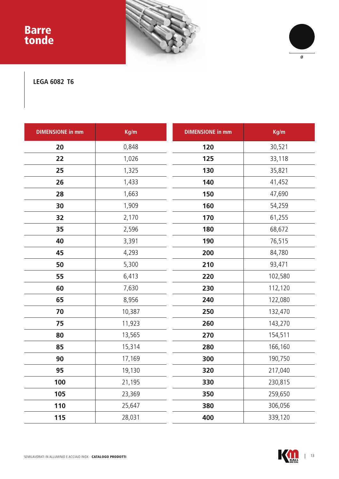## Barre tonde





**LEGA 6082 T6**

| <b>DIMENSIONE in mm</b> | Kg/m   | <b>DIMENSIONE in mm</b> | Kg/m    |
|-------------------------|--------|-------------------------|---------|
| 20                      | 0,848  | 120                     | 30,521  |
| 22                      | 1,026  | 125                     | 33,118  |
| 25                      | 1,325  | 130                     | 35,821  |
| 26                      | 1,433  | 140                     | 41,452  |
| 28                      | 1,663  | 150                     | 47,690  |
| 30                      | 1,909  | 160                     | 54,259  |
| 32                      | 2,170  | 170                     | 61,255  |
| 35                      | 2,596  | 180                     | 68,672  |
| 40                      | 3,391  | 190                     | 76,515  |
| 45                      | 4,293  | 200                     | 84,780  |
| 50                      | 5,300  | 210                     | 93,471  |
| 55                      | 6,413  | 220                     | 102,580 |
| 60                      | 7,630  | 230                     | 112,120 |
| 65                      | 8,956  | 240                     | 122,080 |
| 70                      | 10,387 | 250                     | 132,470 |
| 75                      | 11,923 | 260                     | 143,270 |
| 80                      | 13,565 | 270                     | 154,511 |
| 85                      | 15,314 | 280                     | 166,160 |
| 90                      | 17,169 | 300                     | 190,750 |
| 95                      | 19,130 | 320                     | 217,040 |
| 100                     | 21,195 | 330                     | 230,815 |
| 105                     | 23,369 | 350                     | 259,650 |
| 110                     | 25,647 | 380                     | 306,056 |
| 115                     | 28,031 | 400                     | 339,120 |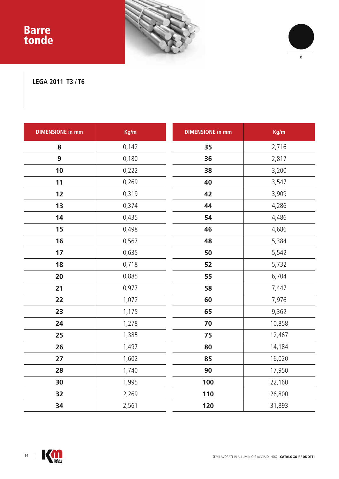## Barre tonde





## **LEGA 2011 T3 / T6**

| <b>DIMENSIONE in mm</b> | Kg/m  | <b>DIMENSIONE in mm</b> | Kg/m   |
|-------------------------|-------|-------------------------|--------|
| 8                       | 0,142 | 35                      | 2,716  |
| 9                       | 0,180 | 36                      | 2,817  |
| 10                      | 0,222 | 38                      | 3,200  |
| 11                      | 0,269 | 40                      | 3,547  |
| 12                      | 0,319 | 42                      | 3,909  |
| 13                      | 0,374 | 44                      | 4,286  |
| 14                      | 0,435 | 54                      | 4,486  |
| 15                      | 0,498 | 46                      | 4,686  |
| 16                      | 0,567 | 48                      | 5,384  |
| 17                      | 0,635 | 50                      | 5,542  |
| 18                      | 0,718 | 52                      | 5,732  |
| 20                      | 0,885 | 55                      | 6,704  |
| 21                      | 0,977 | 58                      | 7,447  |
| 22                      | 1,072 | 60                      | 7,976  |
| 23                      | 1,175 | 65                      | 9,362  |
| 24                      | 1,278 | 70                      | 10,858 |
| 25                      | 1,385 | 75                      | 12,467 |
| 26                      | 1,497 | 80                      | 14,184 |
| 27                      | 1,602 | 85                      | 16,020 |
| 28                      | 1,740 | 90                      | 17,950 |
| 30                      | 1,995 | 100                     | 22,160 |
| 32                      | 2,269 | 110                     | 26,800 |
| 34                      | 2,561 | 120                     | 31,893 |